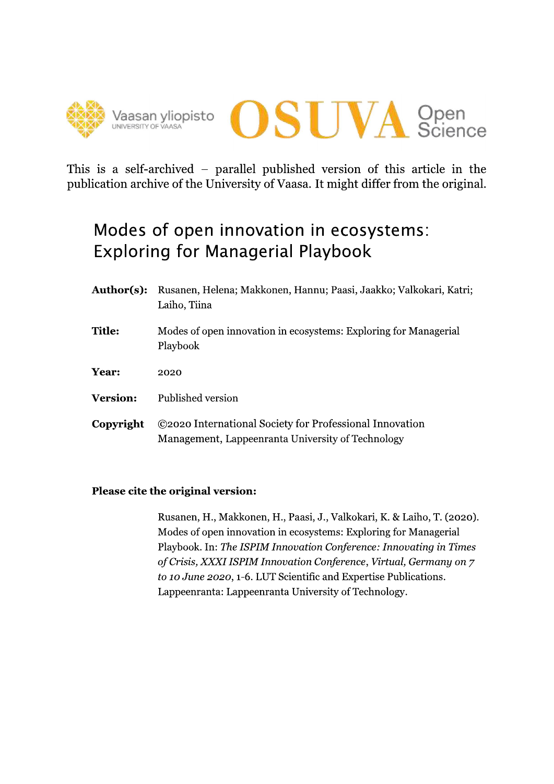



This is a self-archived – parallel published version of this article in the publication archive of the University of Vaasa. It might differ from the original.

# Modes of open innovation in ecosystems: **Exploring for Managerial Playbook**

Author(s): Rusanen, Helena; Makkonen, Hannu; Paasi, Jaakko; Valkokari, Katri; Laiho, Tiina **Title:** Modes of open innovation in ecosystems: Exploring for Managerial Playbook Year: 2020 **Version:** Published version ©2020 International Society for Professional Innovation Copyright Management, Lappeenranta University of Technology

## Please cite the original version:

Rusanen, H., Makkonen, H., Paasi, J., Valkokari, K. & Laiho, T. (2020). Modes of open innovation in ecosystems: Exploring for Managerial Playbook. In: The ISPIM Innovation Conference: Innovating in Times of Crisis, XXXI ISPIM Innovation Conference, Virtual, Germany on 7 to 10 June 2020, 1-6. LUT Scientific and Expertise Publications. Lappeenranta: Lappeenranta University of Technology.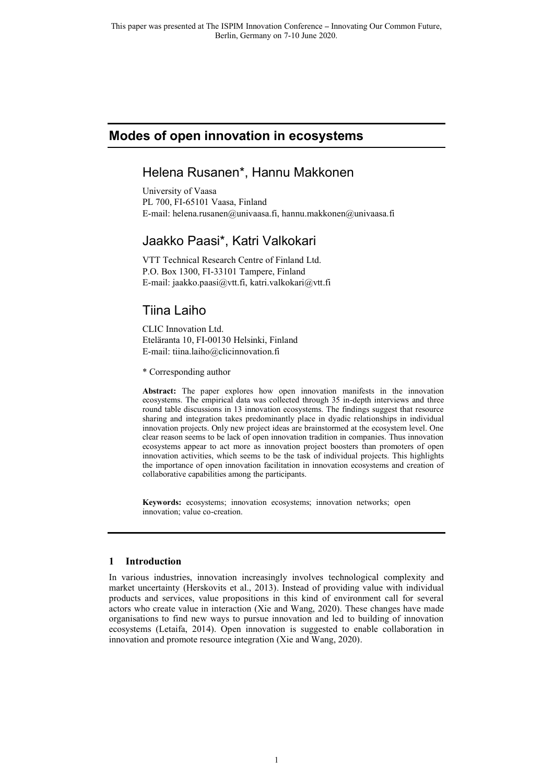## **Modes of open innovation in ecosystems**

## Helena Rusanen\*, Hannu Makkonen

University of Vaasa PL 700, FI-65101 Vaasa, Finland E-mail: helena.rusanen@univaasa.fi, hannu.makkonen@univaasa.fi

## Jaakko Paasi\*, Katri Valkokari

VTT Technical Research Centre of Finland Ltd. P.O. Box 1300, FI-33101 Tampere, Finland E-mail: jaakko.paasi@vtt.fi, katri.valkokari@vtt.fi

# Tiina Laiho

CLIC Innovation Ltd. Eteläranta 10, FI-00130 Helsinki, Finland E-mail: tiina.laiho@clicinnovation.fi

\* Corresponding author

**Abstract:** The paper explores how open innovation manifests in the innovation ecosystems. The empirical data was collected through 35 in-depth interviews and three round table discussions in 13 innovation ecosystems. The findings suggest that resource sharing and integration takes predominantly place in dyadic relationships in individual innovation projects. Only new project ideas are brainstormed at the ecosystem level. One clear reason seems to be lack of open innovation tradition in companies. Thus innovation ecosystems appear to act more as innovation project boosters than promoters of open innovation activities, which seems to be the task of individual projects. This highlights the importance of open innovation facilitation in innovation ecosystems and creation of collaborative capabilities among the participants.

**Keywords:** ecosystems; innovation ecosystems; innovation networks; open innovation; value co-creation.

## **1 Introduction**

In various industries, innovation increasingly involves technological complexity and market uncertainty (Herskovits et al., 2013). Instead of providing value with individual products and services, value propositions in this kind of environment call for several actors who create value in interaction (Xie and Wang, 2020). These changes have made organisations to find new ways to pursue innovation and led to building of innovation ecosystems (Letaifa, 2014). Open innovation is suggested to enable collaboration in innovation and promote resource integration (Xie and Wang, 2020).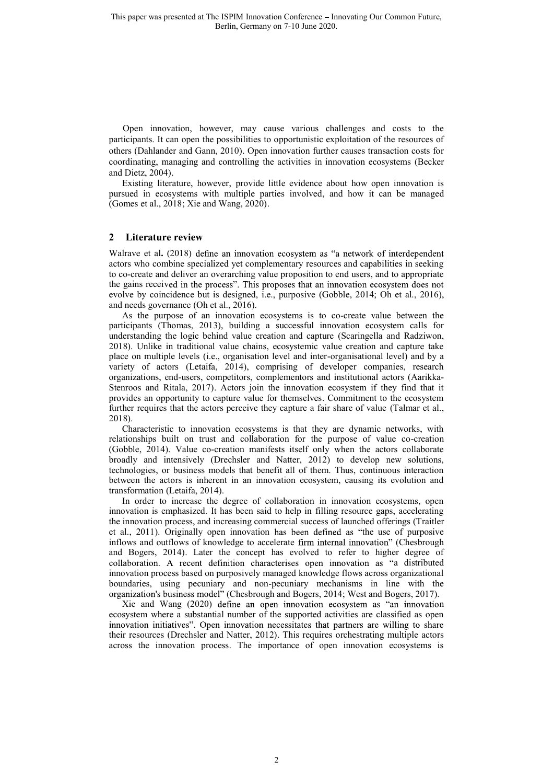Open innovation, however, may cause various challenges and costs to the participants. It can open the possibilities to opportunistic exploitation of the resources of others (Dahlander and Gann, 2010). Open innovation further causes transaction costs for coordinating, managing and controlling the activities in innovation ecosystems (Becker and Dietz, 2004).

Existing literature, however, provide little evidence about how open innovation is pursued in ecosystems with multiple parties involved, and how it can be managed (Gomes et al., 2018; Xie and Wang, 2020).

#### **2 Literature review**

Walrave et al. (2018) define an innovation ecosystem as "a network of interdependent actors who combine specialized yet complementary resources and capabilities in seeking to co-create and deliver an overarching value proposition to end users, and to appropriate the gains received in the process". This proposes that an innovation ecosystem does not evolve by coincidence but is designed, i.e., purposive (Gobble, 2014; Oh et al., 2016), and needs governance (Oh et al., 2016).

As the purpose of an innovation ecosystems is to co-create value between the participants (Thomas, 2013), building a successful innovation ecosystem calls for understanding the logic behind value creation and capture (Scaringella and Radziwon, 2018). Unlike in traditional value chains, ecosystemic value creation and capture take place on multiple levels (i.e., organisation level and inter-organisational level) and by a variety of actors (Letaifa, 2014), comprising of developer companies, research organizations, end-users, competitors, complementors and institutional actors (Aarikka-Stenroos and Ritala, 2017). Actors join the innovation ecosystem if they find that it provides an opportunity to capture value for themselves. Commitment to the ecosystem further requires that the actors perceive they capture a fair share of value (Talmar et al., 2018).

Characteristic to innovation ecosystems is that they are dynamic networks, with relationships built on trust and collaboration for the purpose of value co-creation (Gobble, 2014). Value co-creation manifests itself only when the actors collaborate broadly and intensively (Drechsler and Natter, 2012) to develop new solutions, technologies, or business models that benefit all of them. Thus, continuous interaction between the actors is inherent in an innovation ecosystem, causing its evolution and transformation (Letaifa, 2014).

In order to increase the degree of collaboration in innovation ecosystems, open innovation is emphasized. It has been said to help in filling resource gaps, accelerating the innovation process, and increasing commercial success of launched offerings (Traitler et al., 2011). Originally open innovation has been defined as "the use of purposive inflows and outflows of knowledge to accelerate firm internal innovation" (Chesbrough and Bogers, 2014). Later the concept has evolved to refer to higher degree of collaboration. A recent definition characterises open innovation as "a distributed innovation process based on purposively managed knowledge flows across organizational boundaries, using pecuniary and non-pecuniary mechanisms in line with the organization's business model" (Chesbrough and Bogers, 2014; West and Bogers, 2017).

Xie and Wang  $(2020)$  define an open innovation ecosystem as "an innovation ecosystem where a substantial number of the supported activities are classified as open innovation initiatives". Open innovation necessitates that partners are willing to share their resources (Drechsler and Natter, 2012). This requires orchestrating multiple actors across the innovation process. The importance of open innovation ecosystems is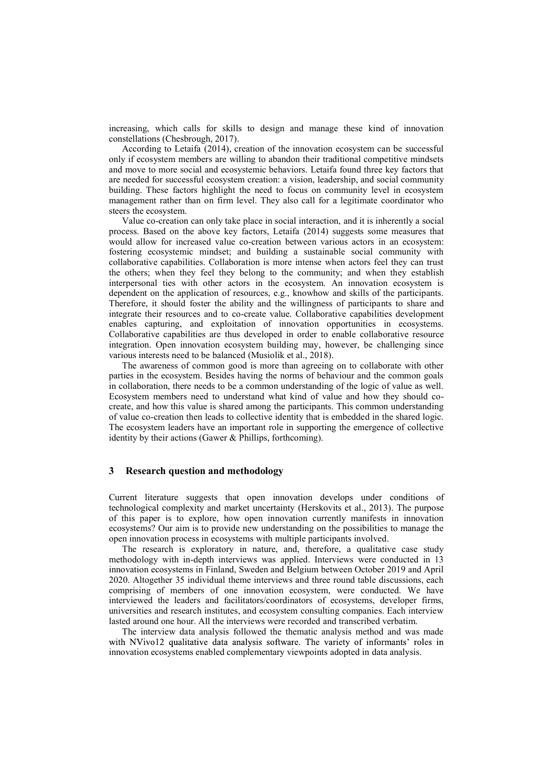increasing, which calls for skills to design and manage these kind of innovation constellations (Chesbrough, 2017).

According to Letaifa (2014), creation of the innovation ecosystem can be successful only if ecosystem members are willing to abandon their traditional competitive mindsets and move to more social and ecosystemic behaviors. Letaifa found three key factors that are needed for successful ecosystem creation: a vision, leadership, and social community building. These factors highlight the need to focus on community level in ecosystem management rather than on firm level. They also call for a legitimate coordinator who steers the ecosystem.

Value co-creation can only take place in social interaction, and it is inherently a social process. Based on the above key factors, Letaifa (2014) suggests some measures that would allow for increased value co-creation between various actors in an ecosystem: fostering ecosystemic mindset; and building a sustainable social community with collaborative capabilities. Collaboration is more intense when actors feel they can trust the others; when they feel they belong to the community; and when they establish interpersonal ties with other actors in the ecosystem. An innovation ecosystem is dependent on the application of resources, e.g., knowhow and skills of the participants. Therefore, it should foster the ability and the willingness of participants to share and integrate their resources and to co-create value. Collaborative capabilities development enables capturing, and exploitation of innovation opportunities in ecosystems. Collaborative capabilities are thus developed in order to enable collaborative resource integration. Open innovation ecosystem building may, however, be challenging since various interests need to be balanced (Musiolik et al., 2018).

The awareness of common good is more than agreeing on to collaborate with other parties in the ecosystem. Besides having the norms of behaviour and the common goals in collaboration, there needs to be a common understanding of the logic of value as well. Ecosystem members need to understand what kind of value and how they should cocreate, and how this value is shared among the participants. This common understanding of value co-creation then leads to collective identity that is embedded in the shared logic. The ecosystem leaders have an important role in supporting the emergence of collective identity by their actions (Gawer & Phillips, forthcoming).

#### **3 Research question and methodology**

Current literature suggests that open innovation develops under conditions of technological complexity and market uncertainty (Herskovits et al., 2013). The purpose of this paper is to explore, how open innovation currently manifests in innovation ecosystems? Our aim is to provide new understanding on the possibilities to manage the open innovation process in ecosystems with multiple participants involved.

The research is exploratory in nature, and, therefore, a qualitative case study methodology with in-depth interviews was applied. Interviews were conducted in 13 innovation ecosystems in Finland, Sweden and Belgium between October 2019 and April 2020. Altogether 35 individual theme interviews and three round table discussions, each comprising of members of one innovation ecosystem, were conducted. We have interviewed the leaders and facilitators/coordinators of ecosystems, developer firms, universities and research institutes, and ecosystem consulting companies. Each interview lasted around one hour. All the interviews were recorded and transcribed verbatim.

The interview data analysis followed the thematic analysis method and was made with NVivo12 qualitative data analysis software. The variety of informants' roles in innovation ecosystems enabled complementary viewpoints adopted in data analysis.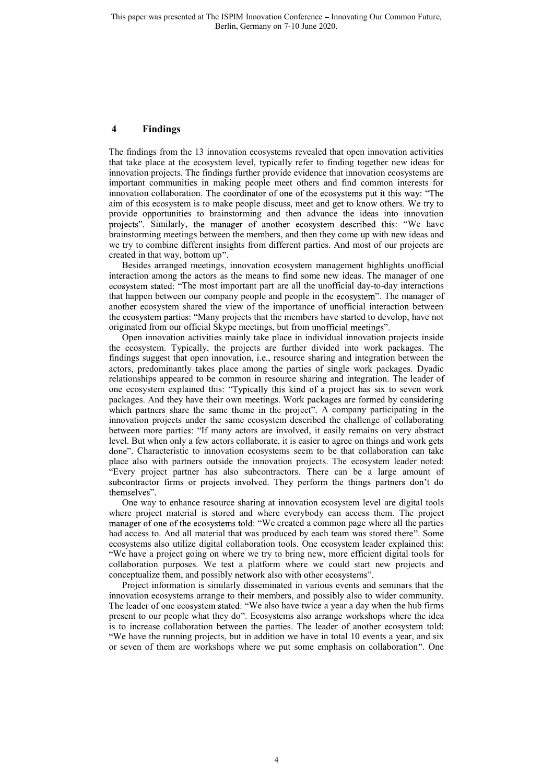#### **4 Findings**

The findings from the 13 innovation ecosystems revealed that open innovation activities that take place at the ecosystem level, typically refer to finding together new ideas for innovation projects. The findings further provide evidence that innovation ecosystems are important communities in making people meet others and find common interests for innovation collaboration. The coordinator of one of the ecosystems put it this way: "The aim of this ecosystem is to make people discuss, meet and get to know others. We try to provide opportunities to brainstorming and then advance the ideas into innovation projects". Similarly, the manager of another ecosystem described this: "We have brainstorming meetings between the members, and then they come up with new ideas and we try to combine different insights from different parties. And most of our projects are created in that way, bottom up".

Besides arranged meetings, innovation ecosystem management highlights unofficial interaction among the actors as the means to find some new ideas. The manager of one ecosystem stated: "The most important part are all the unofficial day-to-day interactions that happen between our company people and people in the ecosystem". The manager of another ecosystem shared the view of the importance of unofficial interaction between the ecosystem parties: "Many projects that the members have started to develop, have not originated from our official Skype meetings, but from unofficial meetings".

Open innovation activities mainly take place in individual innovation projects inside the ecosystem. Typically, the projects are further divided into work packages. The findings suggest that open innovation, i.e., resource sharing and integration between the actors, predominantly takes place among the parties of single work packages. Dyadic relationships appeared to be common in resource sharing and integration. The leader of one ecosystem explained this: "Typically this kind of a project has six to seven work packages. And they have their own meetings. Work packages are formed by considering which partners share the same theme in the project". A company participating in the innovation projects under the same ecosystem described the challenge of collaborating between more parties: "If many actors are involved, it easily remains on very abstract level. But when only a few actors collaborate, it is easier to agree on things and work gets Characteristic to innovation ecosystems seem to be that collaboration can take place also with partners outside the innovation projects. The ecosystem leader noted: Every project partner has also subcontractors. There can be a large amount of subcontractor firms or projects involved. They perform the things partners don't do themselves".

One way to enhance resource sharing at innovation ecosystem level are digital tools where project material is stored and where everybody can access them. The project manager of one of the ecosystems told: "We created a common page where all the parties had access to. And all material that was produced by each team was stored there". Some ecosystems also utilize digital collaboration tools. One ecosystem leader explained this: We have a project going on where we try to bring new, more efficient digital tools for collaboration purposes. We test a platform where we could start new projects and conceptualize them, and possibly network also with other ecosystems".

Project information is similarly disseminated in various events and seminars that the innovation ecosystems arrange to their members, and possibly also to wider community. The leader of one ecosystem stated: "We also have twice a year a day when the hub firms present to our people what they do". Ecosystems also arrange workshops where the idea is to increase collaboration between the parties. The leader of another ecosystem told: We have the running projects, but in addition we have in total 10 events a year, and six or seven of them are workshops where we put some emphasis on collaboration . One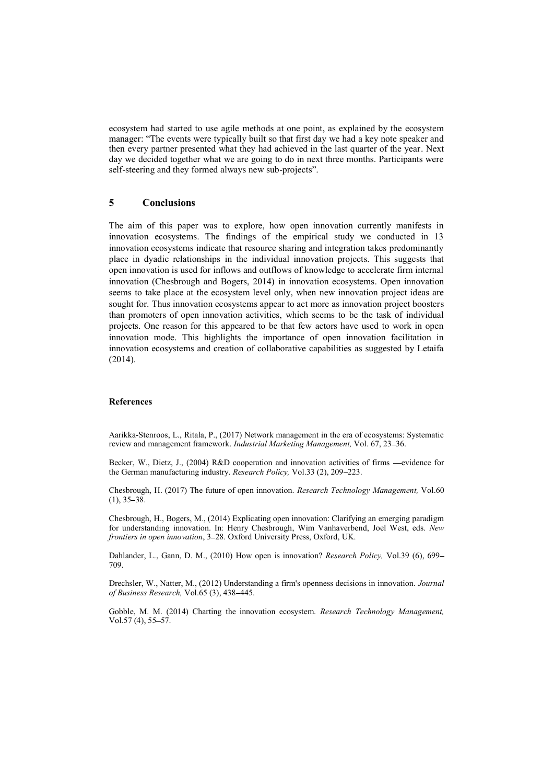ecosystem had started to use agile methods at one point, as explained by the ecosystem manager: "The events were typically built so that first day we had a key note speaker and then every partner presented what they had achieved in the last quarter of the year. Next day we decided together what we are going to do in next three months. Participants were self-steering and they formed always new sub-projects".

## **5 Conclusions**

The aim of this paper was to explore, how open innovation currently manifests in innovation ecosystems. The findings of the empirical study we conducted in 13 innovation ecosystems indicate that resource sharing and integration takes predominantly place in dyadic relationships in the individual innovation projects. This suggests that open innovation is used for inflows and outflows of knowledge to accelerate firm internal innovation (Chesbrough and Bogers, 2014) in innovation ecosystems. Open innovation seems to take place at the ecosystem level only, when new innovation project ideas are sought for. Thus innovation ecosystems appear to act more as innovation project boosters than promoters of open innovation activities, which seems to be the task of individual projects. One reason for this appeared to be that few actors have used to work in open innovation mode. This highlights the importance of open innovation facilitation in innovation ecosystems and creation of collaborative capabilities as suggested by Letaifa (2014).

#### **References**

Aarikka-Stenroos, L., Ritala, P., (2017) Network management in the era of ecosystems: Systematic review and management framework. *Industrial Marketing Management*, Vol. 67, 23–36.

Becker, W., Dietz, J., (2004) R&D cooperation and innovation activities of firms —evidence for the German manufacturing industry. *Research Policy*, Vol.33 (2), 209–223.

Chesbrough, H. (2017) The future of open innovation. *Research Technology Management,* Vol.60  $(1), 35 - 38.$ 

Chesbrough, H., Bogers, M., (2014) Explicating open innovation: Clarifying an emerging paradigm for understanding innovation. In: Henry Chesbrough, Wim Vanhaverbend, Joel West, eds. *New frontiers in open innovation*, 3–28. Oxford University Press, Oxford, UK.

Dahlander, L., Gann, D. M., (2010) How open is innovation? *Research Policy,* Vol.39 (6), 699 709.

Drechsler, W., Natter, M., (2012) Understanding a firm's openness decisions in innovation. *Journal of Business Research,* Vol.65 (3), 438 445.

Gobble, M. M. (2014) Charting the innovation ecosystem. *Research Technology Management,* Vol.57 $(4)$ , 55-57.